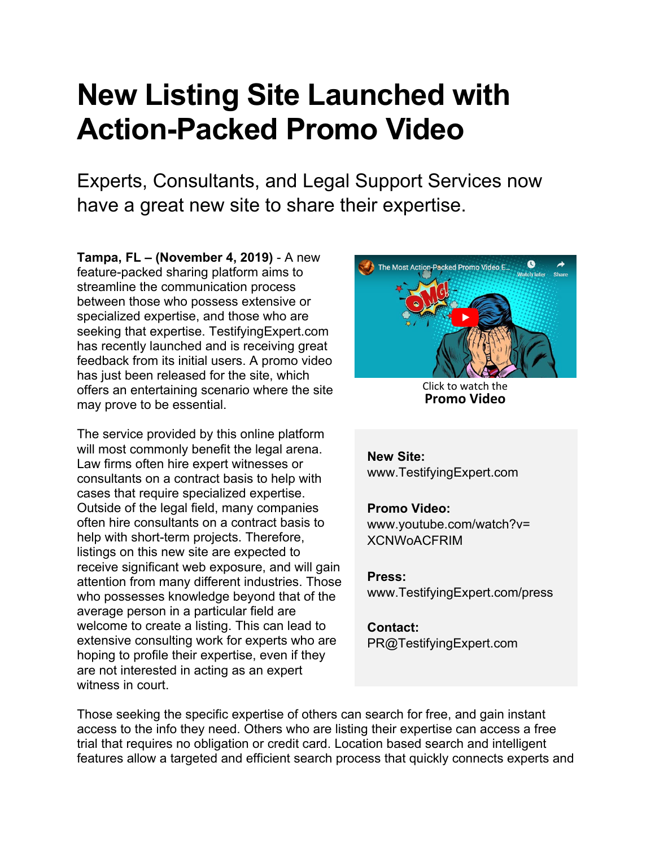## **New Listing Site Launched with Action-Packed Promo Video**

Experts, Consultants, and Legal Support Services now have a great new site to share their expertise.

**Tampa, FL – (November 4, 2019)** - A new feature-packed sharing platform aims to streamline the communication process between those who possess extensive or specialized expertise, and those who are seeking that expertise. TestifyingExpert.com has recently launched and is receiving great feedback from its initial users. A promo video has just been released for the site, which offers an entertaining scenario where the site may prove to be essential.

The service provided by this online platform will most commonly benefit the legal arena. Law firms often hire expert witnesses or consultants on a contract basis to help with cases that require specialized expertise. Outside of the legal field, many companies often hire consultants on a contract basis to help with short-term projects. Therefore, listings on this new site are expected to receive significant web exposure, and will gain attention from many different industries. Those who possesses knowledge beyond that of the average person in a particular field are welcome to create a listing. This can lead to extensive consulting work for experts who are hoping to profile their expertise, even if they are not interested in acting as an expert witness in court.



Click to watch the **[Promo](https://www.youtube.com/watch?v=XCNWoACFRIM) Video**

**New Site:** [www.TestifyingExpert.com](https://www.testifyingexpert.com) 

## **Promo Video:**

[www.youtube.com/watch?v=](https://www.youtube.com/watch?v=XCNWoACFRIM) XCNWoACFRIM

## **Press:**

[www.TestifyingExpert.com/press](https://www.TestifyingExpert.com/press) 

## **Contact:**

PR@TestifyingExpert.com

Those seeking the specific expertise of others can search for free, and gain instant access to the info they need. Others who are listing their expertise can access a free trial that requires no obligation or credit card. Location based search and intelligent features allow a targeted and efficient search process that quickly connects experts and